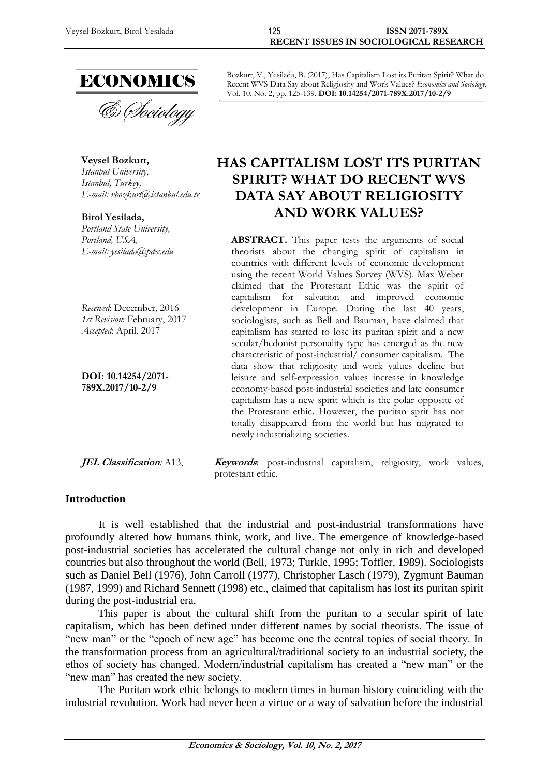

**& Sociology** 

**Veysel Bozkurt,** *Istanbul University, Istanbul, Turkey, E-mail: [vbozkurt@istanbul.edu.tr](mailto:vbozkurt@istanbul.edu.tr)*

**Birol Yesilada,** *Portland State University, Portland, USA, E-mail: [yesilada@pdx.edu](mailto:yesilada@pdx.edu)*

*Received*: December, 2016 *1st Revision*: February, 2017 *Accepted*: April, 2017

**DOI: 10.14254/2071- 789X.2017/10-2/9**

Bozkurt, V., Yesilada, B. (2017), Has Capitalism Lost its Puritan Spirit? What do Recent WVS Data Say about Religiosity and Work Values? *Economics and Sociology*, Vol. 10, No. 2, pp. 125-139. **DOI: 10.14254/2071-789X.2017/10-2/9**

# **HAS CAPITALISM LOST ITS PURITAN SPIRIT? WHAT DO RECENT WVS DATA SAY ABOUT RELIGIOSITY AND WORK VALUES?**

**ABSTRACT.** This paper tests the arguments of social theorists about the changing spirit of capitalism in countries with different levels of economic development using the recent World Values Survey (WVS). Max Weber claimed that the Protestant Ethic was the spirit of capitalism for salvation and improved economic development in Europe. During the last 40 years, sociologists, such as Bell and Bauman, have claimed that capitalism has started to lose its puritan spirit and a new secular/hedonist personality type has emerged as the new characteristic of post-industrial/ consumer capitalism. The data show that religiosity and work values decline but leisure and self-expression values increase in knowledge economy-based post-industrial societies and late consumer capitalism has a new spirit which is the polar opposite of the Protestant ethic. However, the puritan sprit has not totally disappeared from the world but has migrated to newly industrializing societies.

**JEL Classification**: A13, **Keywords**: post-industrial capitalism, religiosity, work values, protestant ethic.

#### **Introduction**

It is well established that the industrial and post-industrial transformations have profoundly altered how humans think, work, and live. The emergence of knowledge-based post-industrial societies has accelerated the cultural change not only in rich and developed countries but also throughout the world (Bell, 1973; Turkle, 1995; Toffler, 1989). Sociologists such as Daniel Bell (1976), John Carroll (1977), Christopher Lasch (1979), Zygmunt Bauman (1987, 1999) and Richard Sennett (1998) etc., claimed that capitalism has lost its puritan spirit during the post-industrial era.

This paper is about the cultural shift from the puritan to a secular spirit of late capitalism, which has been defined under different names by social theorists. The issue of "new man" or the "epoch of new age" has become one the central topics of social theory. In the transformation process from an agricultural/traditional society to an industrial society, the ethos of society has changed. Modern/industrial capitalism has created a "new man" or the "new man" has created the new society.

The Puritan work ethic belongs to modern times in human history coinciding with the industrial revolution. Work had never been a virtue or a way of salvation before the industrial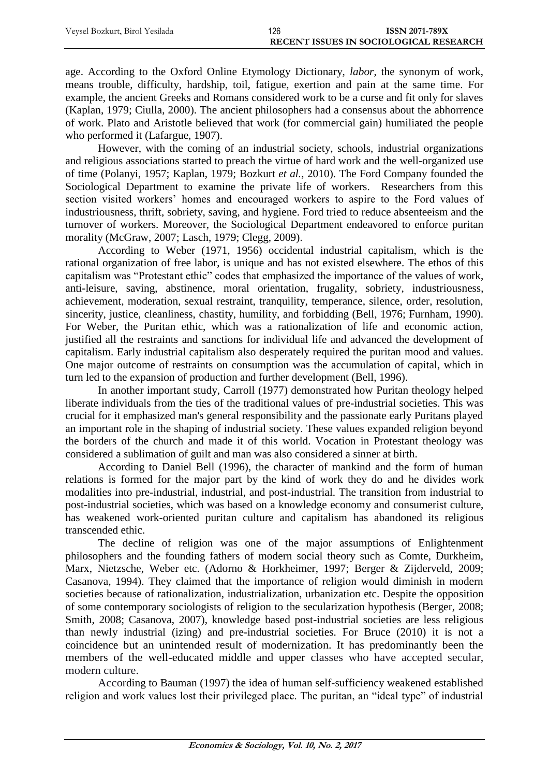| Veysel Bozkurt, Birol Yesilada | 126 | <b>ISSN 2071-789X</b>                  |
|--------------------------------|-----|----------------------------------------|
|                                |     | RECENT ISSUES IN SOCIOLOGICAL RESEARCH |

age. According to the Oxford Online Etymology Dictionary, *labor*, the synonym of work, means trouble, difficulty, hardship, toil, fatigue, exertion and pain at the same time. For example, the ancient Greeks and Romans considered work to be a curse and fit only for slaves (Kaplan, 1979; Ciulla, 2000). The ancient philosophers had a consensus about the abhorrence of work. Plato and Aristotle believed that work (for commercial gain) humiliated the people who performed it (Lafargue, 1907).

However, with the coming of an industrial society, schools, industrial organizations and religious associations started to preach the virtue of hard work and the well-organized use of time (Polanyi, 1957; Kaplan, 1979; Bozkurt *et al.*, 2010). The Ford Company founded the Sociological Department to examine the private life of workers. Researchers from this section visited workers' homes and encouraged workers to aspire to the Ford values of industriousness, thrift, sobriety, saving, and hygiene. Ford tried to reduce absenteeism and the turnover of workers. Moreover, the Sociological Department endeavored to enforce puritan morality (McGraw, 2007; Lasch, 1979; Clegg, 2009).

According to Weber (1971, 1956) occidental industrial capitalism, which is the rational organization of free labor, is unique and has not existed elsewhere. The ethos of this capitalism was "Protestant ethic" codes that emphasized the importance of the values of work, anti-leisure, saving, abstinence, moral orientation, frugality, sobriety, industriousness, achievement, moderation, sexual restraint, tranquility, temperance, silence, order, resolution, sincerity, justice, cleanliness, chastity, humility, and forbidding (Bell, 1976; Furnham, 1990). For Weber, the Puritan ethic, which was a rationalization of life and economic action, justified all the restraints and sanctions for individual life and advanced the development of capitalism. Early industrial capitalism also desperately required the puritan mood and values. One major outcome of restraints on consumption was the accumulation of capital, which in turn led to the expansion of production and further development (Bell, 1996).

In another important study, Carroll (1977) demonstrated how Puritan theology helped liberate individuals from the ties of the traditional values of pre-industrial societies. This was crucial for it emphasized man's general responsibility and the passionate early Puritans played an important role in the shaping of industrial society. These values expanded religion beyond the borders of the church and made it of this world. Vocation in Protestant theology was considered a sublimation of guilt and man was also considered a sinner at birth.

According to Daniel Bell (1996), the character of mankind and the form of human relations is formed for the major part by the kind of work they do and he divides work modalities into pre-industrial, industrial, and post-industrial. The transition from industrial to post-industrial societies, which was based on a knowledge economy and consumerist culture, has weakened work-oriented puritan culture and capitalism has abandoned its religious transcended ethic.

The decline of religion was one of the major assumptions of Enlightenment philosophers and the founding fathers of modern social theory such as Comte, Durkheim, Marx, Nietzsche, Weber etc. (Adorno & Horkheimer, 1997; Berger & Zijderveld, 2009; Casanova, 1994). They claimed that the importance of religion would diminish in modern societies because of rationalization, industrialization, urbanization etc. Despite the opposition of some contemporary sociologists of religion to the secularization hypothesis (Berger, 2008; Smith, 2008; Casanova, 2007), knowledge based post-industrial societies are less religious than newly industrial (izing) and pre-industrial societies. For Bruce (2010) it is not a coincidence but an unintended result of modernization. It has predominantly been the members of the well-educated middle and upper classes who have accepted secular, modern culture.

According to Bauman (1997) the idea of human self-sufficiency weakened established religion and work values lost their privileged place. The puritan, an "ideal type" of industrial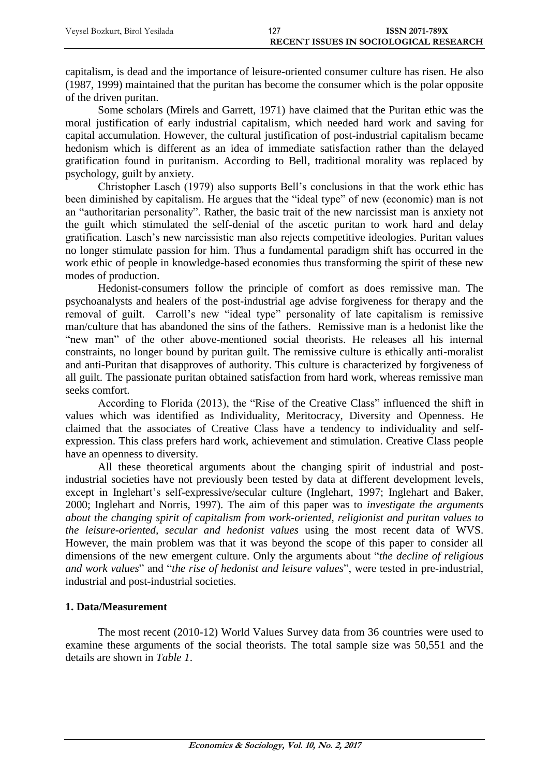capitalism, is dead and the importance of leisure-oriented consumer culture has risen. He also (1987, 1999) maintained that the puritan has become the consumer which is the polar opposite of the driven puritan.

Some scholars (Mirels and Garrett, 1971) have claimed that the Puritan ethic was the moral justification of early industrial capitalism, which needed hard work and saving for capital accumulation. However, the cultural justification of post-industrial capitalism became hedonism which is different as an idea of immediate satisfaction rather than the delayed gratification found in puritanism. According to Bell, traditional morality was replaced by psychology, guilt by anxiety.

Christopher Lasch (1979) also supports Bell's conclusions in that the work ethic has been diminished by capitalism. He argues that the "ideal type" of new (economic) man is not an "authoritarian personality". Rather, the basic trait of the new narcissist man is anxiety not the guilt which stimulated the self-denial of the ascetic puritan to work hard and delay gratification. Lasch's new narcissistic man also rejects competitive ideologies. Puritan values no longer stimulate passion for him. Thus a fundamental paradigm shift has occurred in the work ethic of people in knowledge-based economies thus transforming the spirit of these new modes of production.

Hedonist-consumers follow the principle of comfort as does remissive man. The psychoanalysts and healers of the post-industrial age advise forgiveness for therapy and the removal of guilt. Carroll's new "ideal type" personality of late capitalism is remissive man/culture that has abandoned the sins of the fathers. Remissive man is a hedonist like the "new man" of the other above-mentioned social theorists. He releases all his internal constraints, no longer bound by puritan guilt. The remissive culture is ethically anti-moralist and anti-Puritan that disapproves of authority. This culture is characterized by forgiveness of all guilt. The passionate puritan obtained satisfaction from hard work, whereas remissive man seeks comfort.

According to Florida (2013), the "Rise of the Creative Class" influenced the shift in values which was identified as Individuality, Meritocracy, Diversity and Openness. He claimed that the associates of Creative Class have a tendency to individuality and selfexpression. This class prefers hard work, achievement and stimulation. Creative Class people have an openness to diversity.

All these theoretical arguments about the changing spirit of industrial and postindustrial societies have not previously been tested by data at different development levels, except in Inglehart's self-expressive/secular culture (Inglehart, 1997; Inglehart and Baker, 2000; Inglehart and Norris, 1997). The aim of this paper was to *investigate the arguments about the changing spirit of capitalism from work-oriented, religionist and puritan values to the leisure-oriented, secular and hedonist values* using the most recent data of WVS. However, the main problem was that it was beyond the scope of this paper to consider all dimensions of the new emergent culture. Only the arguments about "*the decline of religious and work values*" and "*the rise of hedonist and leisure values*", were tested in pre-industrial, industrial and post-industrial societies.

# **1. Data/Measurement**

The most recent (2010-12) World Values Survey data from 36 countries were used to examine these arguments of the social theorists. The total sample size was 50,551 and the details are shown in *Table 1*.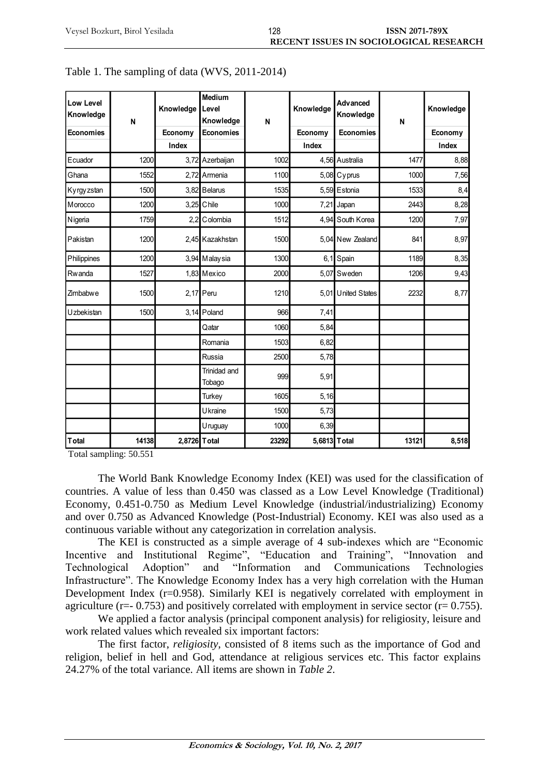| Low Level<br>Knowledge<br>Economies | N     | Knowledge<br>Economy<br>Index | <b>Medium</b><br>Level<br>Knowledge<br><b>Economies</b> | N     | Knowledge<br>Economy<br>Index | Advanced<br>Knowledge<br>Economies | N     | Knowledge<br>Economy<br>Index |
|-------------------------------------|-------|-------------------------------|---------------------------------------------------------|-------|-------------------------------|------------------------------------|-------|-------------------------------|
| Ecuador                             | 1200  |                               | 3,72 Azerbaijan                                         | 1002  |                               | 4,56 Australia                     | 1477  | 8,88                          |
| Ghana                               | 1552  |                               | 2.72 Armenia                                            | 1100  |                               | 5,08 Cyprus                        | 1000  | 7,56                          |
| Kyrgyzstan                          | 1500  |                               | 3,82 Belarus                                            | 1535  |                               | 5,59 Estonia                       | 1533  | 8,4                           |
| Morocco                             | 1200  |                               | 3,25 Chile                                              | 1000  | 7,21                          | Japan                              | 2443  | 8,28                          |
| Nigeria                             | 1759  |                               | 2,2 Colombia                                            | 1512  |                               | 4,94 South Korea                   | 1200  | 7,97                          |
| Pakistan                            | 1200  |                               | 2,45 Kazakhstan                                         | 1500  |                               | 5,04 New Zealand                   | 841   | 8,97                          |
| Philippines                         | 1200  |                               | 3,94 Malaysia                                           | 1300  | 6,1                           | Spain                              | 1189  | 8,35                          |
| Rwanda                              | 1527  |                               | 1,83 Mexico                                             | 2000  | 5,07                          | Sweden                             | 1206  | 9,43                          |
| Zimbabwe                            | 1500  |                               | $2,17$ Peru                                             | 1210  |                               | 5,01 United States                 | 2232  | 8,77                          |
| Uzbekistan                          | 1500  |                               | $3,14$ Poland                                           | 966   | 7,41                          |                                    |       |                               |
|                                     |       |                               | Qatar                                                   | 1060  | 5,84                          |                                    |       |                               |
|                                     |       |                               | Romania                                                 | 1503  | 6,82                          |                                    |       |                               |
|                                     |       |                               | Russia                                                  | 2500  | 5,78                          |                                    |       |                               |
|                                     |       |                               | Trinidad and<br>Tobago                                  | 999   | 5,91                          |                                    |       |                               |
|                                     |       |                               | <b>Turkey</b>                                           | 1605  | 5,16                          |                                    |       |                               |
|                                     |       |                               | Ukraine                                                 | 1500  | 5,73                          |                                    |       |                               |
|                                     |       |                               | Uruguay                                                 | 1000  | 6,39                          |                                    |       |                               |
| <b>T</b> otal                       | 14138 | 2,8726 T otal                 |                                                         | 23292 | 5,6813 Total                  |                                    | 13121 | 8,518                         |

|  |  | Table 1. The sampling of data (WVS, 2011-2014) |
|--|--|------------------------------------------------|
|  |  |                                                |

Total sampling: 50.551

The World Bank Knowledge Economy Index (KEI) was used for the classification of countries. A value of less than 0.450 was classed as a Low Level Knowledge (Traditional) Economy, 0.451-0.750 as Medium Level Knowledge (industrial/industrializing) Economy and over 0.750 as Advanced Knowledge (Post-Industrial) Economy. KEI was also used as a continuous variable without any categorization in correlation analysis.

The KEI is constructed as a simple average of 4 sub-indexes which are "Economic Incentive and Institutional Regime", "Education and Training", "Innovation and Technological Adoption" and "Information and Communications Technologies Infrastructure". The Knowledge Economy Index has a very high correlation with the Human Development Index (r=0.958). Similarly KEI is negatively correlated with employment in agriculture ( $r=- 0.753$ ) and positively correlated with employment in service sector ( $r= 0.755$ ).

We applied a factor analysis (principal component analysis) for religiosity, leisure and work related values which revealed six important factors:

The first factor, *religiosity*, consisted of 8 items such as the importance of God and religion, belief in hell and God, attendance at religious services etc. This factor explains 24.27% of the total variance. All items are shown in *Table 2*.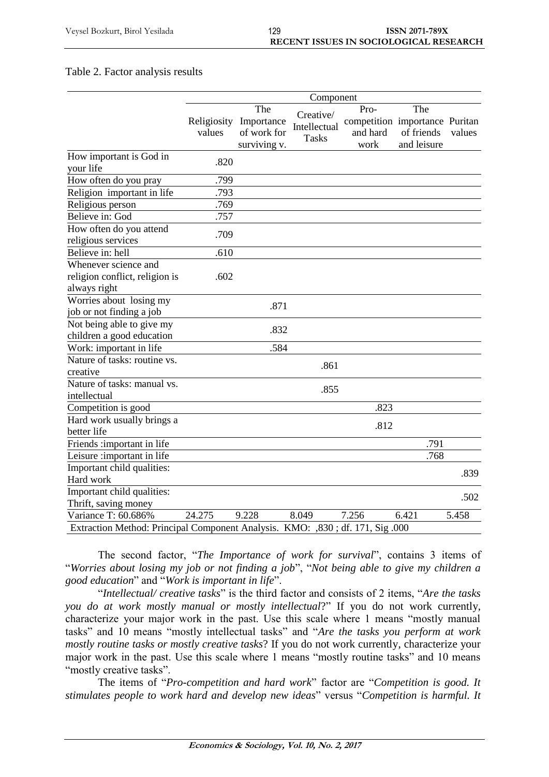#### Table 2. Factor analysis results

|                                                                              |        |                        | Component    |                                |             |        |
|------------------------------------------------------------------------------|--------|------------------------|--------------|--------------------------------|-------------|--------|
|                                                                              |        | The                    | Creative/    | Pro-                           | The         |        |
|                                                                              |        | Religiosity Importance | Intellectual | competition importance Puritan |             |        |
|                                                                              | values | of work for            | <b>Tasks</b> | and hard                       | of friends  | values |
|                                                                              |        | surviving v.           |              | work                           | and leisure |        |
| How important is God in                                                      | .820   |                        |              |                                |             |        |
| your life                                                                    |        |                        |              |                                |             |        |
| How often do you pray                                                        | .799   |                        |              |                                |             |        |
| Religion important in life                                                   | .793   |                        |              |                                |             |        |
| Religious person                                                             | .769   |                        |              |                                |             |        |
| Believe in: God                                                              | .757   |                        |              |                                |             |        |
| How often do you attend                                                      | .709   |                        |              |                                |             |        |
| religious services                                                           |        |                        |              |                                |             |        |
| Believe in: hell                                                             | .610   |                        |              |                                |             |        |
| Whenever science and                                                         |        |                        |              |                                |             |        |
| religion conflict, religion is                                               | .602   |                        |              |                                |             |        |
| always right                                                                 |        |                        |              |                                |             |        |
| Worries about losing my                                                      |        | .871                   |              |                                |             |        |
| job or not finding a job                                                     |        |                        |              |                                |             |        |
| Not being able to give my                                                    |        | .832                   |              |                                |             |        |
| children a good education                                                    |        |                        |              |                                |             |        |
| Work: important in life                                                      |        | .584                   |              |                                |             |        |
| Nature of tasks: routine vs.                                                 |        |                        | .861         |                                |             |        |
| creative                                                                     |        |                        |              |                                |             |        |
| Nature of tasks: manual vs.                                                  |        |                        | .855         |                                |             |        |
| intellectual                                                                 |        |                        |              |                                |             |        |
| Competition is good                                                          |        |                        |              | .823                           |             |        |
| Hard work usually brings a                                                   |        |                        |              | .812                           |             |        |
| better life                                                                  |        |                        |              |                                |             |        |
| Friends :important in life                                                   |        |                        |              |                                | .791        |        |
| Leisure: important in life                                                   |        |                        |              |                                | .768        |        |
| Important child qualities:                                                   |        |                        |              |                                |             | .839   |
| Hard work                                                                    |        |                        |              |                                |             |        |
| Important child qualities:                                                   |        |                        |              |                                |             | .502   |
| Thrift, saving money                                                         |        |                        |              |                                |             |        |
| Variance T: 60.686%                                                          | 24.275 | 9.228                  | 8.049        | 7.256                          | 6.421       | 5.458  |
| Extraction Method: Principal Component Analysis. KMO: ,830; df. 171, Sig.000 |        |                        |              |                                |             |        |

The second factor, "*The Importance of work for survival*", contains 3 items of "*Worries about losing my job or not finding a job*", "*Not being able to give my children a good education*" and "*Work is important in life*".

"*Intellectual/ creative tasks*" is the third factor and consists of 2 items, "*Are the tasks you do at work mostly manual or mostly intellectual*?" If you do not work currently, characterize your major work in the past. Use this scale where 1 means "mostly manual tasks" and 10 means "mostly intellectual tasks" and "*Are the tasks you perform at work mostly routine tasks or mostly creative tasks*? If you do not work currently, characterize your major work in the past. Use this scale where 1 means "mostly routine tasks" and 10 means "mostly creative tasks".

The items of "*Pro-competition and hard work*" factor are "*Competition is good. It stimulates people to work hard and develop new ideas*" versus "*Competition is harmful. It*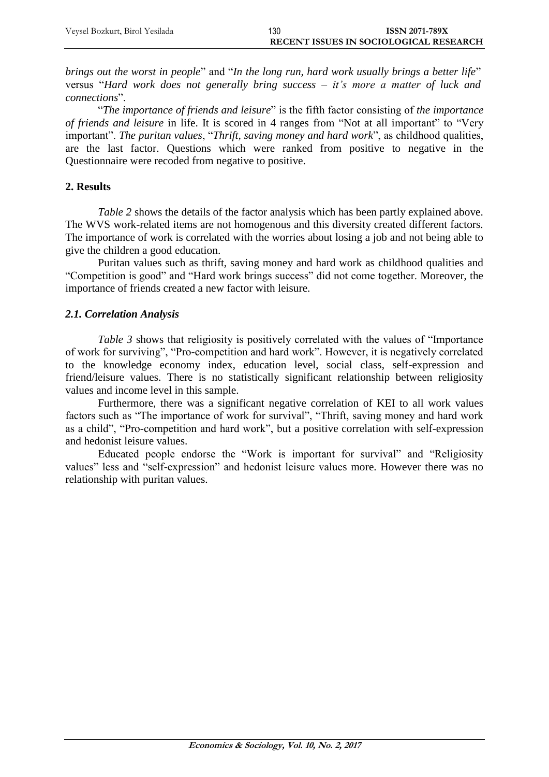| Veysel Bozkurt, Birol Yesilada | 130 | <b>ISSN 2071-789X</b>                  |
|--------------------------------|-----|----------------------------------------|
|                                |     | RECENT ISSUES IN SOCIOLOGICAL RESEARCH |

*brings out the worst in people*" and "*In the long run, hard work usually brings a better life*" versus "*Hard work does not generally bring success – it's more a matter of luck and connections*".

"*The importance of friends and leisure*" is the fifth factor consisting of *the importance of friends and leisure* in life. It is scored in 4 ranges from "Not at all important" to "Very important". *The puritan values*, "*Thrift, saving money and hard work*", as childhood qualities, are the last factor. Questions which were ranked from positive to negative in the Questionnaire were recoded from negative to positive.

# **2. Results**

*Table 2* shows the details of the factor analysis which has been partly explained above. The WVS work-related items are not homogenous and this diversity created different factors. The importance of work is correlated with the worries about losing a job and not being able to give the children a good education.

Puritan values such as thrift, saving money and hard work as childhood qualities and "Competition is good" and "Hard work brings success" did not come together. Moreover, the importance of friends created a new factor with leisure.

# *2.1. Correlation Analysis*

*Table 3* shows that religiosity is positively correlated with the values of "Importance" of work for surviving", "Pro-competition and hard work". However, it is negatively correlated to the knowledge economy index, education level, social class, self-expression and friend/leisure values. There is no statistically significant relationship between religiosity values and income level in this sample.

Furthermore, there was a significant negative correlation of KEI to all work values factors such as "The importance of work for survival", "Thrift, saving money and hard work as a child", "Pro-competition and hard work", but a positive correlation with self-expression and hedonist leisure values.

Educated people endorse the "Work is important for survival" and "Religiosity values" less and "self-expression" and hedonist leisure values more. However there was no relationship with puritan values.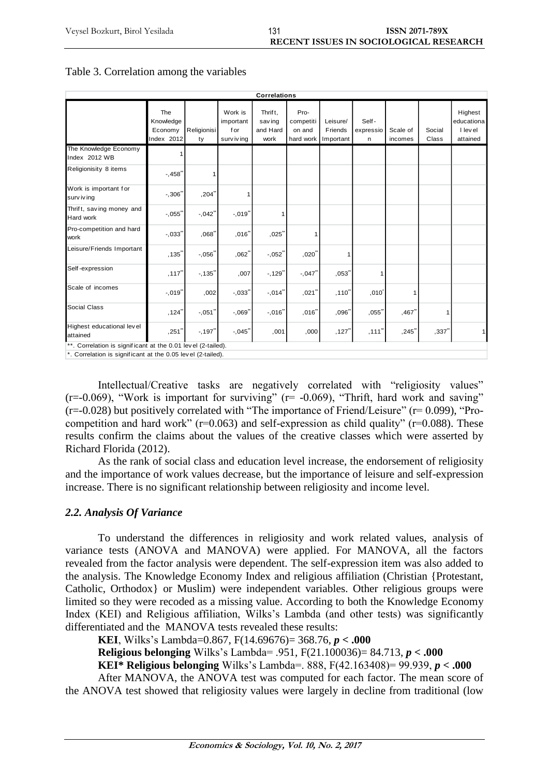| <b>Correlations</b>                                          |                                           |                     |                                            |                                        |                                          |                                  |                         |                     |                 |                                              |
|--------------------------------------------------------------|-------------------------------------------|---------------------|--------------------------------------------|----------------------------------------|------------------------------------------|----------------------------------|-------------------------|---------------------|-----------------|----------------------------------------------|
|                                                              | The<br>Knowledge<br>Economy<br>Index 2012 | Religionisi<br>ty   | Work is<br>important<br>for<br>surv iv ing | Thrift.<br>sav ing<br>and Hard<br>work | Pro-<br>competiti<br>on and<br>hard work | Leisure/<br>Friends<br>Important | Self-<br>expressio<br>n | Scale of<br>incomes | Social<br>Class | Highest<br>educationa<br>I level<br>attained |
| The Knowledge Economy<br>Index 2012 WB                       |                                           |                     |                                            |                                        |                                          |                                  |                         |                     |                 |                                              |
| Religionisity 8 items                                        | $-458$ <sup>*</sup>                       | 1                   |                                            |                                        |                                          |                                  |                         |                     |                 |                                              |
| Work is important for<br>surv iv ing                         | $-0.306$                                  | $,204$ <sup>*</sup> |                                            |                                        |                                          |                                  |                         |                     |                 |                                              |
| Thrift, saving money and<br>Hard work                        | $-0.055$                                  | $-0.042$            | $-0.019$                                   | 1                                      |                                          |                                  |                         |                     |                 |                                              |
| Pro-competition and hard<br>work                             | $-.033$ <sup>-</sup>                      | $068^{\degree}$     | ,016"                                      | $,025$ <sup>*</sup>                    |                                          |                                  |                         |                     |                 |                                              |
| Leisure/Friends Important                                    | ,135"                                     | $-0.056$            | ,062                                       | $-0.052$                               | $,020^{\degree}$                         |                                  |                         |                     |                 |                                              |
| Self-expression                                              | ,117"                                     | $-135"$             | ,007                                       | $-129"$                                | $-0.047$                                 | ,053"                            |                         |                     |                 |                                              |
| Scale of incomes                                             | $-0.019$                                  | ,002                | $-.033"$                                   | $-.014"$                               | $,021$ <sup>*</sup>                      | ,110"                            | ,010'                   |                     |                 |                                              |
| Social Class                                                 | ,124"                                     | $-0.051$            | $-0.069$                                   | $-.016"$                               | ,016"                                    | ,096                             | ,055"                   | $,467$ <sup>*</sup> |                 |                                              |
| Highest educational level<br>attained                        | $,251$ "                                  | $-197"$             | $-0.045$                                   | ,001                                   | ,000                                     | $,127$ <sup>*</sup>              | ,111"                   | ,245"               | ,337"           | 1                                            |
| **. Correlation is significant at the 0.01 level (2-tailed). |                                           |                     |                                            |                                        |                                          |                                  |                         |                     |                 |                                              |
| *. Correlation is significant at the 0.05 level (2-tailed).  |                                           |                     |                                            |                                        |                                          |                                  |                         |                     |                 |                                              |

### Table 3. Correlation among the variables

Intellectual/Creative tasks are negatively correlated with "religiosity values"  $(r=-0.069)$ , "Work is important for surviving"  $(r=-0.069)$ , "Thrift, hard work and saving"  $(r=-0.028)$  but positively correlated with "The importance of Friend/Leisure" ( $r=0.099$ ), "Procompetition and hard work" ( $r=0.063$ ) and self-expression as child quality" ( $r=0.088$ ). These results confirm the claims about the values of the creative classes which were asserted by Richard Florida (2012).

As the rank of social class and education level increase, the endorsement of religiosity and the importance of work values decrease, but the importance of leisure and self-expression increase. There is no significant relationship between religiosity and income level.

#### *2.2. Analysis Of Variance*

To understand the differences in religiosity and work related values, analysis of variance tests (ANOVA and MANOVA) were applied. For MANOVA, all the factors revealed from the factor analysis were dependent. The self-expression item was also added to the analysis. The Knowledge Economy Index and religious affiliation (Christian {Protestant, Catholic, Orthodox} or Muslim) were independent variables. Other religious groups were limited so they were recoded as a missing value. According to both the Knowledge Economy Index (KEI) and Religious affiliation, Wilks's Lambda (and other tests) was significantly differentiated and the MANOVA tests revealed these results:

**KEI**, Wilks's Lambda=0.867, F(14.69676)= 368.76, *p* **< .000**

**Religious belonging** Wilks's Lambda= .951, F(21.100036)= 84.713, *p* **< .000**

**KEI\* Religious belonging** Wilks's Lambda=. 888, F(42.163408)= 99.939, *p* **< .000**

After MANOVA, the ANOVA test was computed for each factor. The mean score of the ANOVA test showed that religiosity values were largely in decline from traditional (low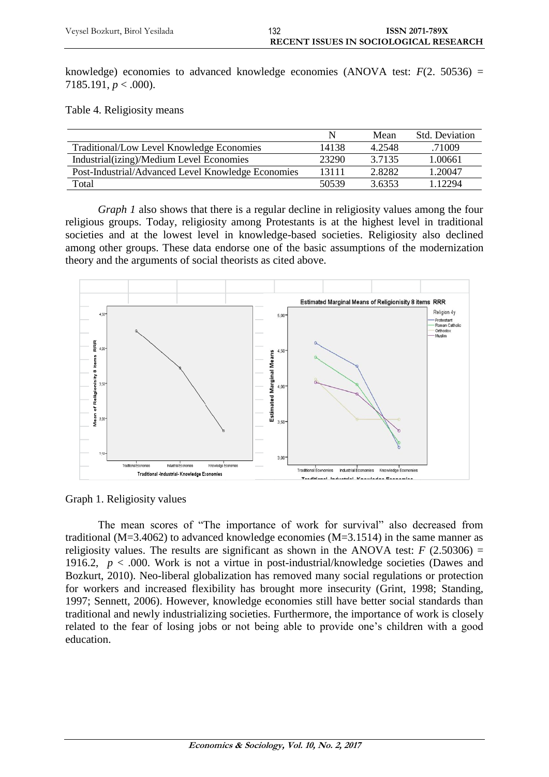knowledge) economies to advanced knowledge economies (ANOVA test:  $F(2, 50536) =$ 7185.191, *p* < .000).

Table 4. Religiosity means

|                                                    | N     | Mean   | <b>Std.</b> Deviation |
|----------------------------------------------------|-------|--------|-----------------------|
| Traditional/Low Level Knowledge Economies          | 14138 | 4.2548 | .71009                |
| Industrial(izing)/Medium Level Economies           | 23290 | 3.7135 | 1.00661               |
| Post-Industrial/Advanced Level Knowledge Economies | 13111 | 2.8282 | 1.20047               |
| Total                                              | 50539 | 3.6353 | 1 12294               |

*Graph 1* also shows that there is a regular decline in religiosity values among the four religious groups. Today, religiosity among Protestants is at the highest level in traditional societies and at the lowest level in knowledge-based societies. Religiosity also declined among other groups. These data endorse one of the basic assumptions of the modernization theory and the arguments of social theorists as cited above.



Graph 1. Religiosity values

The mean scores of "The importance of work for survival" also decreased from traditional (M=3.4062) to advanced knowledge economies (M=3.1514) in the same manner as religiosity values. The results are significant as shown in the ANOVA test:  $F(2.50306) =$ 1916.2,  $p < .000$ . Work is not a virtue in post-industrial/knowledge societies (Dawes and Bozkurt, 2010). Neo-liberal globalization has removed many social regulations or protection for workers and increased flexibility has brought more insecurity (Grint, 1998; [Standing,](http://ejd.sagepub.com/search?author1=Guy+Standing&sortspec=date&submit=Submit) 1997; Sennett, 2006). However, knowledge economies still have better social standards than traditional and newly industrializing societies. Furthermore, the importance of work is closely related to the fear of losing jobs or not being able to provide one's children with a good education.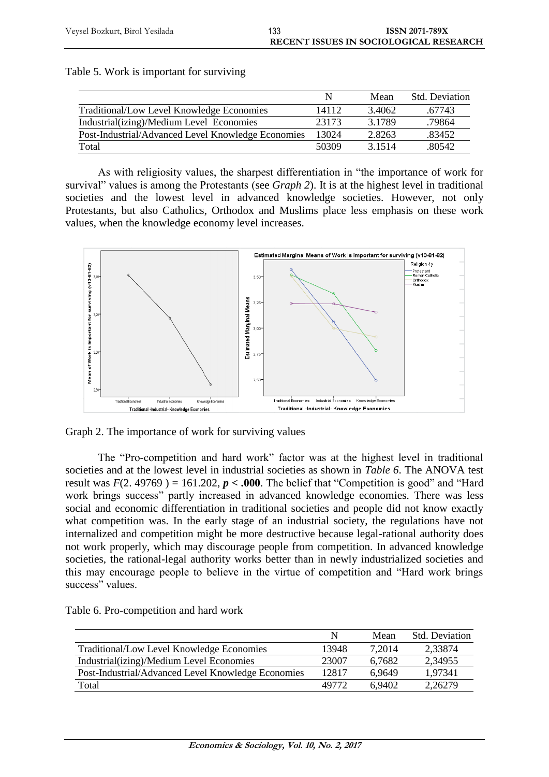|                                                    |       | Mean      | <b>Std. Deviation</b> |
|----------------------------------------------------|-------|-----------|-----------------------|
| Traditional/Low Level Knowledge Economies          | 14112 | 3.4062    | .67743                |
| Industrial(izing)/Medium Level Economies           | 23173 | 3 1 7 8 9 | .79864                |
| Post-Industrial/Advanced Level Knowledge Economies | 13024 | 2.8263    | .83452                |
| Total                                              | 50309 | 3 1 5 1 4 | .80542                |

| Table 5. Work is important for surviving |  |  |  |  |
|------------------------------------------|--|--|--|--|
|------------------------------------------|--|--|--|--|

As with religiosity values, the sharpest differentiation in "the importance of work for survival" values is among the Protestants (see *Graph 2*). It is at the highest level in traditional societies and the lowest level in advanced knowledge societies. However, not only Protestants, but also Catholics, Orthodox and Muslims place less emphasis on these work values, when the knowledge economy level increases.



Graph 2. The importance of work for surviving values

The "Pro-competition and hard work" factor was at the highest level in traditional societies and at the lowest level in industrial societies as shown in *Table 6*. The ANOVA test result was  $F(2.49769) = 161.202$ ,  $p < .000$ . The belief that "Competition is good" and "Hard work brings success" partly increased in advanced knowledge economies. There was less social and economic differentiation in traditional societies and people did not know exactly what competition was. In the early stage of an industrial society, the regulations have not internalized and competition might be more destructive because legal-rational authority does not work properly, which may discourage people from competition. In advanced knowledge societies, the rational-legal authority works better than in newly industrialized societies and this may encourage people to believe in the virtue of competition and "Hard work brings success" values.

|                                                    | N     | Mean   | <b>Std.</b> Deviation |
|----------------------------------------------------|-------|--------|-----------------------|
| Traditional/Low Level Knowledge Economies          | 13948 | 7,2014 | 2,33874               |
| Industrial(izing)/Medium Level Economies           | 23007 | 6.7682 | 2,34955               |
| Post-Industrial/Advanced Level Knowledge Economies | 12817 | 6.9649 | 1.97341               |
| Total                                              | 49772 | 6.9402 | 2,26279               |

Table 6. Pro-competition and hard work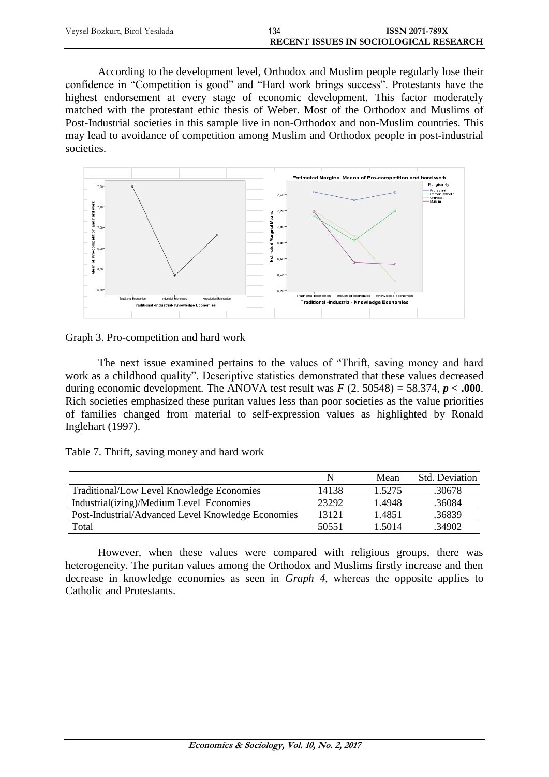| Veysel Bozkurt, Birol Yesilada | 134 | <b>ISSN 2071-789X</b>                  |
|--------------------------------|-----|----------------------------------------|
|                                |     | RECENT ISSUES IN SOCIOLOGICAL RESEARCH |

According to the development level, Orthodox and Muslim people regularly lose their confidence in "Competition is good" and "Hard work brings success". Protestants have the highest endorsement at every stage of economic development. This factor moderately matched with the protestant ethic thesis of Weber. Most of the Orthodox and Muslims of Post-Industrial societies in this sample live in non-Orthodox and non-Muslim countries. This may lead to avoidance of competition among Muslim and Orthodox people in post-industrial societies.



Graph 3. Pro-competition and hard work

The next issue examined pertains to the values of "Thrift, saving money and hard work as a childhood quality". Descriptive statistics demonstrated that these values decreased during economic development. The ANOVA test result was  $F(2.50548) = 58.374$ ,  $p < .000$ . Rich societies emphasized these puritan values less than poor societies as the value priorities of families changed from material to self-expression values as highlighted by Ronald Inglehart (1997).

|  |  | Table 7. Thrift, saving money and hard work |
|--|--|---------------------------------------------|
|--|--|---------------------------------------------|

|                                                    | N     | Mean   | <b>Std.</b> Deviation |
|----------------------------------------------------|-------|--------|-----------------------|
| Traditional/Low Level Knowledge Economies          | 14138 | 1.5275 | .30678                |
| Industrial(izing)/Medium Level Economies           | 23292 | 1.4948 | .36084                |
| Post-Industrial/Advanced Level Knowledge Economies | 13121 | 1.4851 | .36839                |
| Total                                              | 50551 | 1 5014 | .34902                |

However, when these values were compared with religious groups, there was heterogeneity. The puritan values among the Orthodox and Muslims firstly increase and then decrease in knowledge economies as seen in *Graph 4*, whereas the opposite applies to Catholic and Protestants.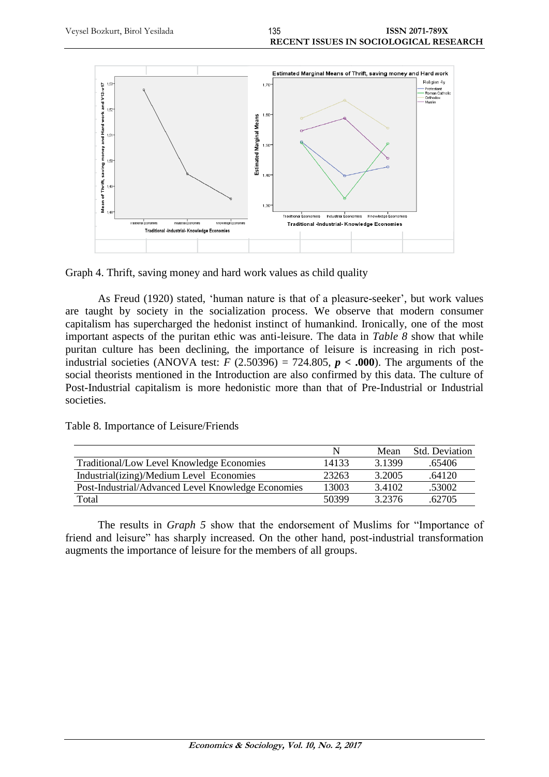



As Freud (1920) stated, 'human nature is that of a pleasure-seeker', but work values are taught by society in the socialization process. We observe that modern consumer capitalism has supercharged the hedonist instinct of humankind. Ironically, one of the most important aspects of the puritan ethic was anti-leisure. The data in *Table 8* show that while puritan culture has been declining, the importance of leisure is increasing in rich postindustrial societies (ANOVA test:  $F$  (2.50396) = 724.805,  $p < .000$ ). The arguments of the social theorists mentioned in the Introduction are also confirmed by this data. The culture of Post-Industrial capitalism is more hedonistic more than that of Pre-Industrial or Industrial societies.

Table 8. Importance of Leisure/Friends

|                                                    |       | Mean      | <b>Std. Deviation</b> |
|----------------------------------------------------|-------|-----------|-----------------------|
| Traditional/Low Level Knowledge Economies          | 14133 | 3 1 3 9 9 | .65406                |
| Industrial(izing)/Medium Level Economies           | 23263 | 3.2005    | .64120                |
| Post-Industrial/Advanced Level Knowledge Economies | 13003 | 3.4102    | .53002                |
| Total                                              | 50399 | 3 2376    | 62705                 |

The results in *Graph 5* show that the endorsement of Muslims for "Importance of friend and leisure" has sharply increased. On the other hand, post-industrial transformation augments the importance of leisure for the members of all groups.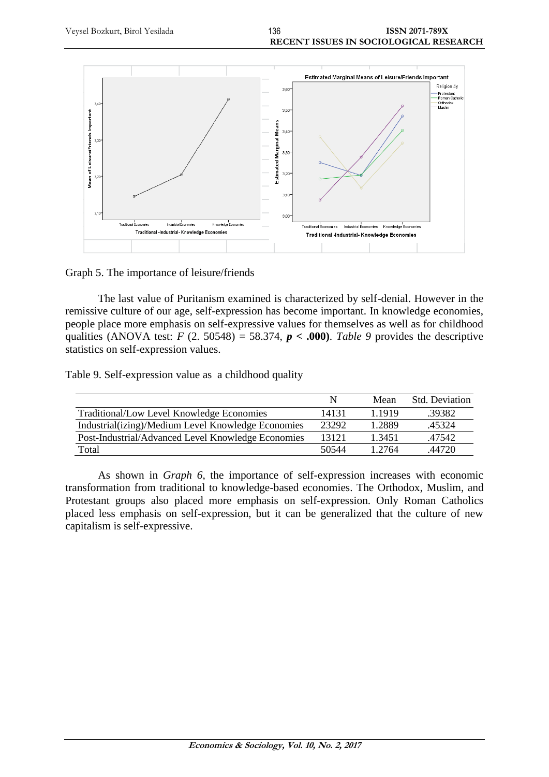

Graph 5. The importance of leisure/friends

The last value of Puritanism examined is characterized by self-denial. However in the remissive culture of our age, self-expression has become important. In knowledge economies, people place more emphasis on self-expressive values for themselves as well as for childhood qualities (ANOVA test:  $F$  (2. 50548) = 58.374,  $p < .000$ ). Table 9 provides the descriptive statistics on self-expression values.

Table 9. Self-expression value as a childhood quality

|                                                    | N     | Mean   | <b>Std.</b> Deviation |
|----------------------------------------------------|-------|--------|-----------------------|
| Traditional/Low Level Knowledge Economies          | 14131 | 1 1919 | .39382                |
| Industrial(izing)/Medium Level Knowledge Economies | 23292 | 1.2889 | .45324                |
| Post-Industrial/Advanced Level Knowledge Economies | 13121 | 1.3451 | .47542                |
| Total                                              | 50544 | 1 2764 | 44720                 |

As shown in *Graph 6*, the importance of self-expression increases with economic transformation from traditional to knowledge-based economies. The Orthodox, Muslim, and Protestant groups also placed more emphasis on self-expression. Only Roman Catholics placed less emphasis on self-expression, but it can be generalized that the culture of new capitalism is self-expressive.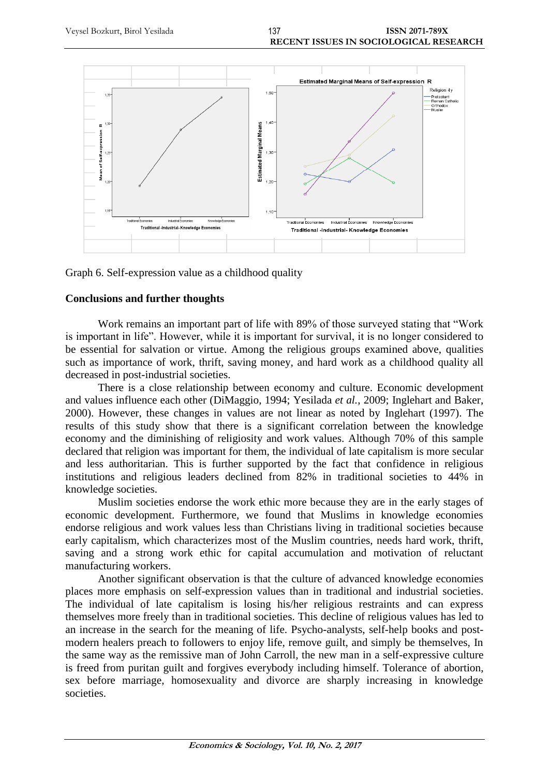



### **Conclusions and further thoughts**

Work remains an important part of life with 89% of those surveyed stating that "Work is important in life". However, while it is important for survival, it is no longer considered to be essential for salvation or virtue. Among the religious groups examined above, qualities such as importance of work, thrift, saving money, and hard work as a childhood quality all decreased in post-industrial societies.

There is a close relationship between economy and culture. Economic development and values influence each other (DiMaggio, 1994; Yesilada *et al.*, 2009; Inglehart and Baker, 2000). However, these changes in values are not linear as noted by Inglehart (1997). The results of this study show that there is a significant correlation between the knowledge economy and the diminishing of religiosity and work values. Although 70% of this sample declared that religion was important for them, the individual of late capitalism is more secular and less authoritarian. This is further supported by the fact that confidence in religious institutions and religious leaders declined from 82% in traditional societies to 44% in knowledge societies.

Muslim societies endorse the work ethic more because they are in the early stages of economic development. Furthermore, we found that Muslims in knowledge economies endorse religious and work values less than Christians living in traditional societies because early capitalism, which characterizes most of the Muslim countries, needs hard work, thrift, saving and a strong work ethic for capital accumulation and motivation of reluctant manufacturing workers.

Another significant observation is that the culture of advanced knowledge economies places more emphasis on self-expression values than in traditional and industrial societies. The individual of late capitalism is losing his/her religious restraints and can express themselves more freely than in traditional societies. This decline of religious values has led to an increase in the search for the meaning of life. Psycho-analysts, self-help books and postmodern healers preach to followers to enjoy life, remove guilt, and simply be themselves, In the same way as the remissive man of John Carroll, the new man in a self-expressive culture is freed from puritan guilt and forgives everybody including himself. Tolerance of abortion, sex before marriage, homosexuality and divorce are sharply increasing in knowledge societies.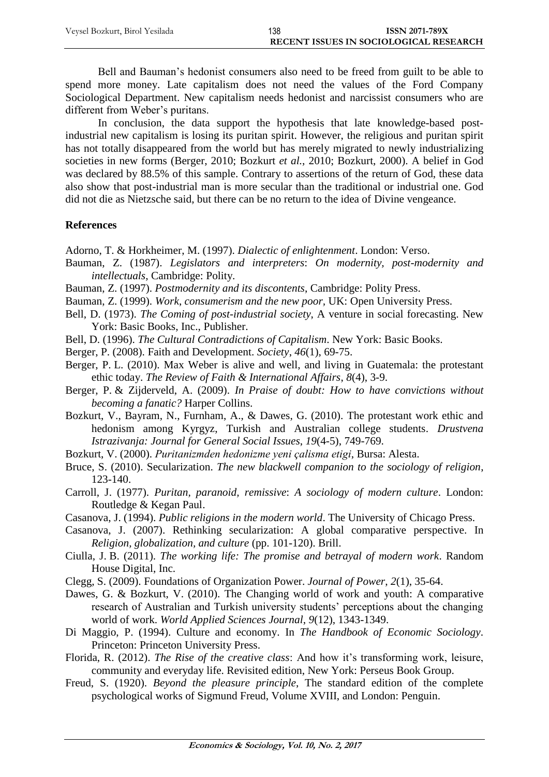Bell and Bauman's hedonist consumers also need to be freed from guilt to be able to spend more money. Late capitalism does not need the values of the Ford Company Sociological Department. New capitalism needs hedonist and narcissist consumers who are different from Weber's puritans.

In conclusion, the data support the hypothesis that late knowledge-based postindustrial new capitalism is losing its puritan spirit. However, the religious and puritan spirit has not totally disappeared from the world but has merely migrated to newly industrializing societies in new forms (Berger, 2010; Bozkurt *et al.*, 2010; Bozkurt, 2000). A belief in God was declared by 88.5% of this sample. Contrary to assertions of the return of God, these data also show that post-industrial man is more secular than the traditional or industrial one. God did not die as Nietzsche said, but there can be no return to the idea of Divine vengeance.

# **References**

Adorno, T. & Horkheimer, M. (1997). *Dialectic of enlightenment*. London: Verso.

- Bauman, Z. (1987). *Legislators and interpreters*: *On modernity, post-modernity and intellectuals*, Cambridge: Polity.
- Bauman, Z. (1997). *Postmodernity and its discontents*, Cambridge: Polity Press.

Bauman, Z. (1999). *Work*, *consumerism and the new poor,* UK: Open University Press.

- Bell, D. (1973). *The Coming of post-industrial society*, A venture in social forecasting. New York: Basic Books, Inc., Publisher.
- Bell, D. (1996). *[The Cultural Contradictions of Capitalism](http://www.google.com/books?hl=tr&lr=&id=MwK5yHY_f5oC&oi=fnd&pg=PA3&dq=Bell,+D.,++++The+Cultural+&ots=06IIcq0IdE&sig=TcHPP16UvNUDYEwRMNzWWnKyGiY)*. New York: Basic Books.
- Berger, P. (2008). Faith and Development. *Society*, *46*(1), 69-75.
- Berger, P. L. (2010). Max Weber is alive and well, and living in Guatemala: the protestant ethic today. *The Review of Faith & International Affairs*, *8*(4), 3-9.
- Berger, P. & Zijderveld, A. (2009). *In Praise of doubt: How to have convictions without becoming a fanatic?* Harper Collins.
- Bozkurt, V., Bayram, N., Furnham, A., & Dawes, G. (2010). The protestant work ethic and hedonism among Kyrgyz, Turkish and Australian college students. *Drustvena Istrazivanja: Journal for General Social Issues*, *19*(4-5), 749-769.
- Bozkurt, V. (2000). *Puritanizmden hedonizme yeni çalisma etigi*, Bursa: Alesta.
- Bruce, S. (2010). Secularization. *The new blackwell companion to the sociology of religion*, 123-140.
- Carroll, J. (1977). *Puritan, paranoid, remissive*: *A sociology of modern culture*. London: Routledge & Kegan Paul.
- Casanova, J. (1994). *Public religions in the modern world*. The University of Chicago Press.
- Casanova, J. (2007). Rethinking secularization: A global comparative perspective. In *Religion, globalization, and culture* (pp. 101-120). Brill.
- Ciulla, J. B. (2011). *The working life: The promise and betrayal of modern work*. Random House Digital, Inc.
- Clegg, S. (2009). Foundations of Organization Power. *Journal of Power*, *2*(1), 35-64.
- Dawes, G. & Bozkurt, V. (2010). The Changing world of work and youth: A comparative research of Australian and Turkish university students' perceptions about the changing world of work. *World Applied Sciences Journal*, *9*(12), 1343-1349.
- Di Maggio, P. (1994). Culture and economy. In *The Handbook of Economic Sociology*. Princeton: Princeton University Press.
- Florida, R. (2012). *The Rise of the creative class*: And how it's transforming work, leisure, community and everyday life. Revisited edition, New York: Perseus Book Group.
- Freud, S. (1920). *Beyond the pleasure principle*, The standard edition of the complete psychological works of Sigmund Freud, Volume XVIII, and London: Penguin.